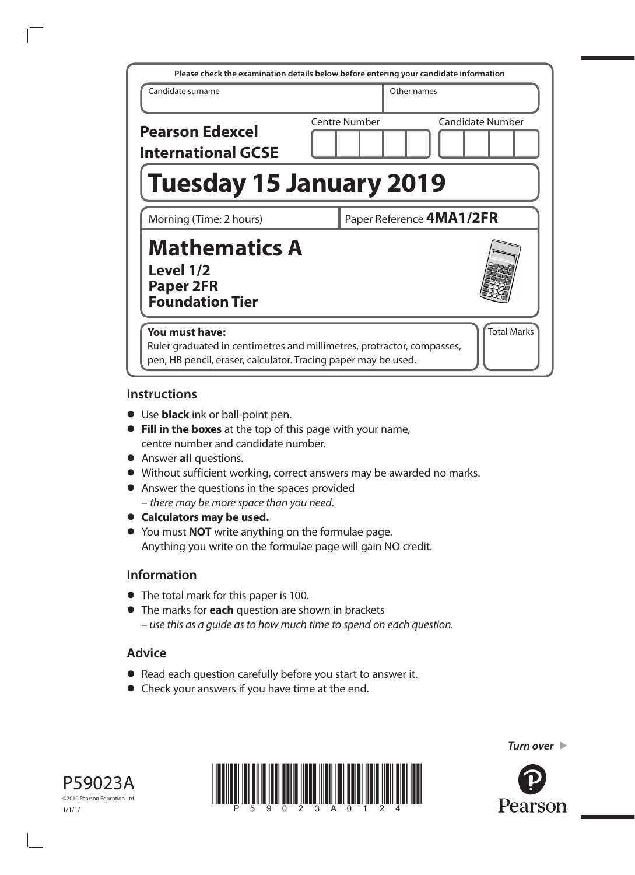| Please check the examination details below before entering your candidate information                                                                      |                      |                          |  |  |  |  |
|------------------------------------------------------------------------------------------------------------------------------------------------------------|----------------------|--------------------------|--|--|--|--|
| Candidate surname                                                                                                                                          |                      | Other names              |  |  |  |  |
| <b>Pearson Edexcel</b><br><b>International GCSE</b>                                                                                                        | <b>Centre Number</b> | <b>Candidate Number</b>  |  |  |  |  |
| <b>Tuesday 15 January 2019</b>                                                                                                                             |                      |                          |  |  |  |  |
| Morning (Time: 2 hours)                                                                                                                                    |                      | Paper Reference 4MA1/2FR |  |  |  |  |
| <b>Mathematics A</b><br>Level 1/2<br><b>Paper 2FR</b><br><b>Foundation Tier</b>                                                                            |                      |                          |  |  |  |  |
| You must have:<br>Ruler graduated in centimetres and millimetres, protractor, compasses,<br>pen, HB pencil, eraser, calculator. Tracing paper may be used. |                      | <b>Total Marks</b>       |  |  |  |  |

### **Instructions**

- **•** Use **black** ink or ball-point pen.
- **• Fill in the boxes** at the top of this page with your name, centre number and candidate number.
- **•** Answer **all** questions.
- **•** Without sufficient working, correct answers may be awarded no marks.
- **•** Answer the questions in the spaces provided – *there may be more space than you need*.
- **• Calculators may be used.**
- **•** You must **NOT** write anything on the formulae page. Anything you write on the formulae page will gain NO credit.

## **Information**

- **•** The total mark for this paper is 100.
- **•** The marks for **each** question are shown in brackets *– use this as a guide as to how much time to spend on each question.*

# **Advice**

- **•** Read each question carefully before you start to answer it.
- **•** Check your answers if you have time at the end.





*Turn over* 

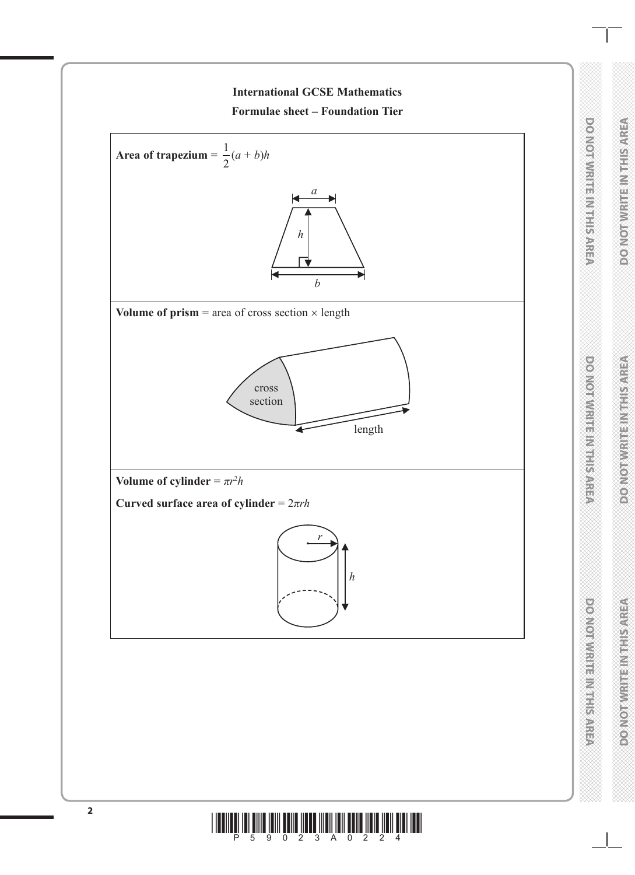

**DO NOT WRITE IN THIS AREA** 

DO NOTWRITE IN THIS AREA

**DO NOT WRITE IN THIS AREA** 

DO NOTWIRE IN THE AREA

**DO NOT WRITE IN THIS AREA**

**DO NOTWRITE IN TEST SARE** 

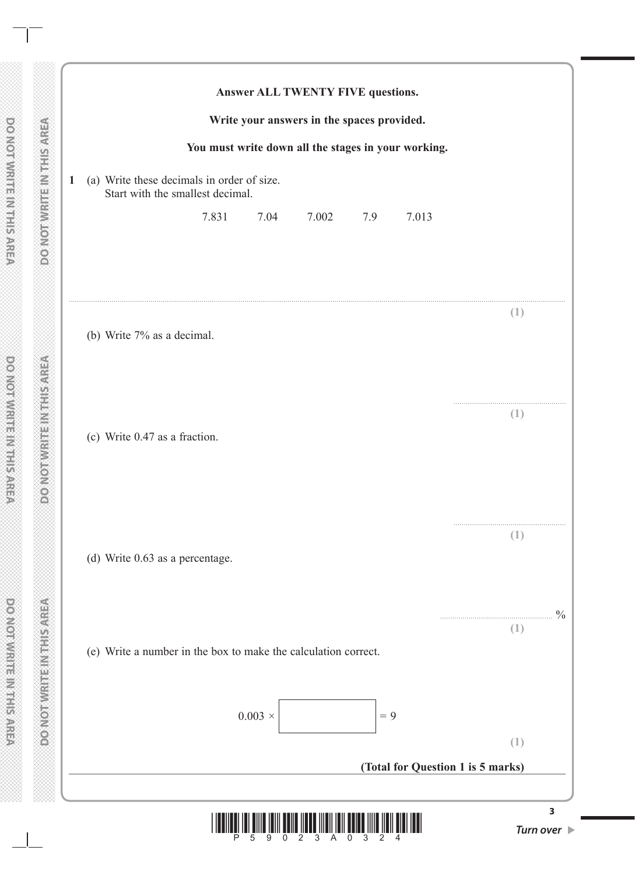|                                                                                |                  | Write your answers in the spaces provided. |       | Answer ALL TWENTY FIVE questions.                   |          |  |  |
|--------------------------------------------------------------------------------|------------------|--------------------------------------------|-------|-----------------------------------------------------|----------|--|--|
|                                                                                |                  |                                            |       | You must write down all the stages in your working. |          |  |  |
| (a) Write these decimals in order of size.<br>Start with the smallest decimal. |                  |                                            |       |                                                     |          |  |  |
| 7.831                                                                          | 7.04             | 7.002                                      | 7.9   | 7.013                                               |          |  |  |
|                                                                                |                  |                                            |       |                                                     |          |  |  |
| (b) Write 7% as a decimal.                                                     |                  |                                            |       |                                                     | (1)      |  |  |
|                                                                                |                  |                                            |       |                                                     |          |  |  |
| (c) Write 0.47 as a fraction.                                                  |                  |                                            |       |                                                     | $(\bot)$ |  |  |
|                                                                                |                  |                                            |       |                                                     |          |  |  |
|                                                                                |                  |                                            |       |                                                     | (1)      |  |  |
| (d) Write 0.63 as a percentage.                                                |                  |                                            |       |                                                     |          |  |  |
|                                                                                |                  |                                            |       |                                                     | (1)      |  |  |
| (e) Write a number in the box to make the calculation correct.                 |                  |                                            |       |                                                     |          |  |  |
|                                                                                | $0.003$ $\times$ |                                            | $= 9$ |                                                     |          |  |  |
|                                                                                |                  |                                            |       |                                                     | (1)      |  |  |
|                                                                                |                  |                                            |       | (Total for Question 1 is 5 marks)                   |          |  |  |
|                                                                                |                  |                                            |       |                                                     |          |  |  |

**DO NOT WRITE IN THIS AREA DO NOT WRITE IN THIS AREA DO NOT WRITE IN THIS AREA**

**PO NOT WRITE INTHIS AREA** 

**VERVISHELMELHAMLONGG** 

**DO NOT WRITE IN THIS AREA**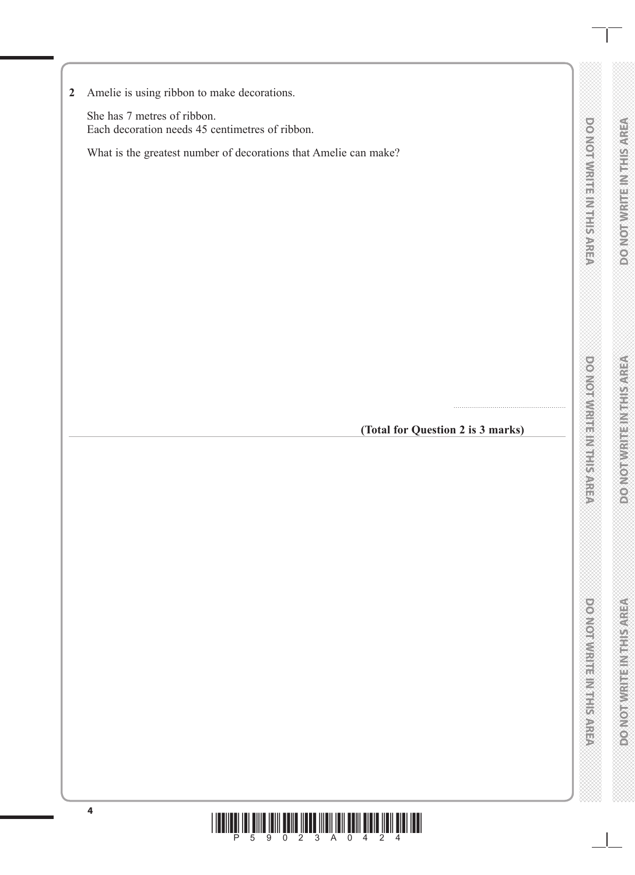**DOMOTWRITEIN FIRST SAREA DO NOT WRITE IN THIS AREA** 

**DONOTWRITE MITHIERAREA DO NOT WRITE IN THIS AREA**

**2** Amelie is using ribbon to make decorations.

She has 7 metres of ribbon. Each decoration needs 45 centimetres of ribbon.

What is the greatest number of decorations that Amelie can make?

**(Total for Question 2 is 3 marks)**

.......................................................

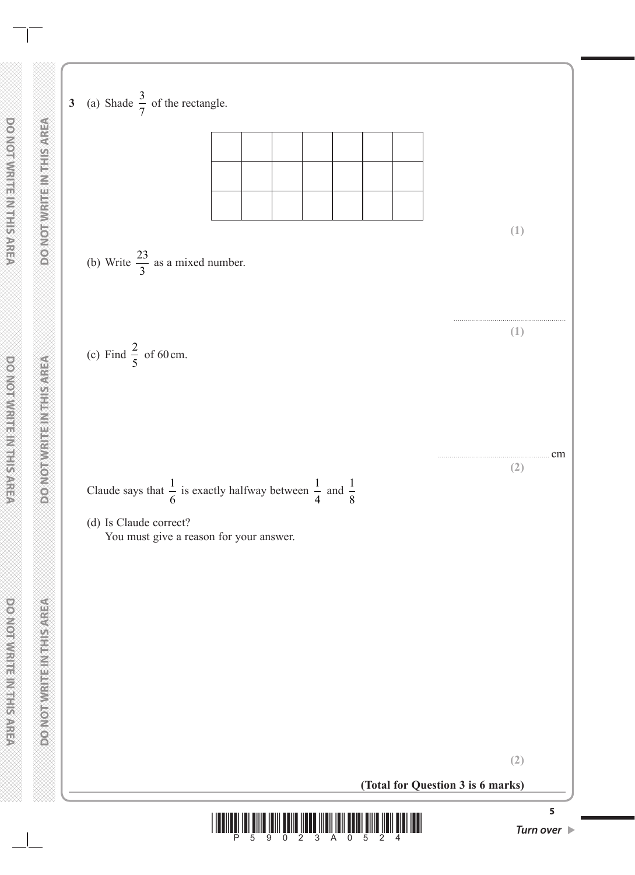**3** (a) Shade  $\frac{3}{7}$  of the rectangle. (b) Write  $\frac{23}{2}$  as a mixed number. 3 ....................................................... (c) Find  $\frac{2}{5}$  of 60 cm. 5 ....................................................... cm Claude says that  $\frac{1}{6}$ is exactly halfway between  $\frac{1}{4}$ and  $\frac{1}{2}$ 6 4 8 (d) Is Claude correct? You must give a reason for your answer. **Method Michael Management** 

**(Total for Question 3 is 6 marks)**



**(2)**

**(1)**

**(1)**

**(2)**

**5**

**DO NOT WRITE IN THIS AREA DO NOT WRITE IN THIS AREA DO NOT WRITE IN THIS AREA DOMORWIGHT MENTIONED**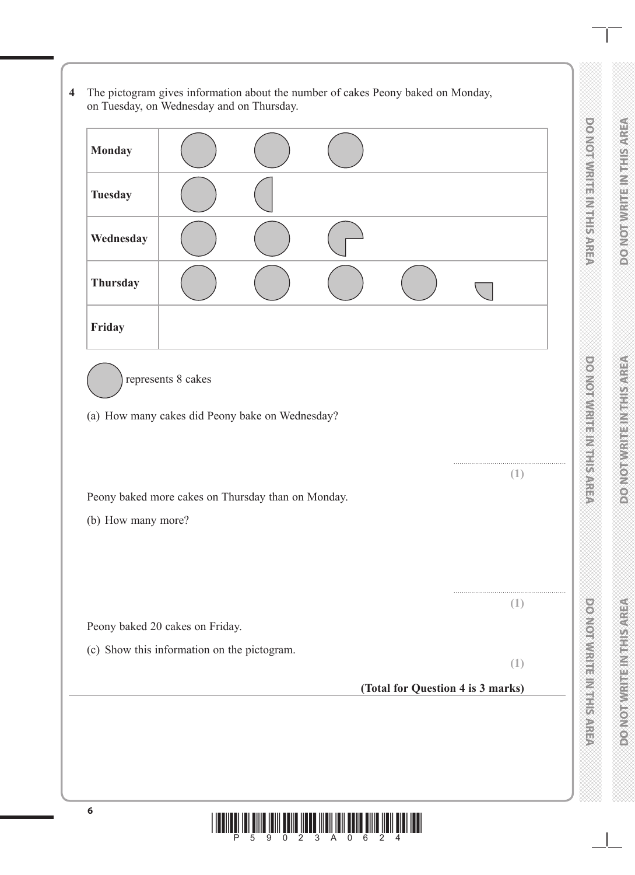DO NOT WRITE IN THIS AREA **DO NOT WRITE IN THIS AREA** 



**4** The pictogram gives information about the number of cakes Peony baked on Monday,

on Tuesday, on Wednesday and on Thursday.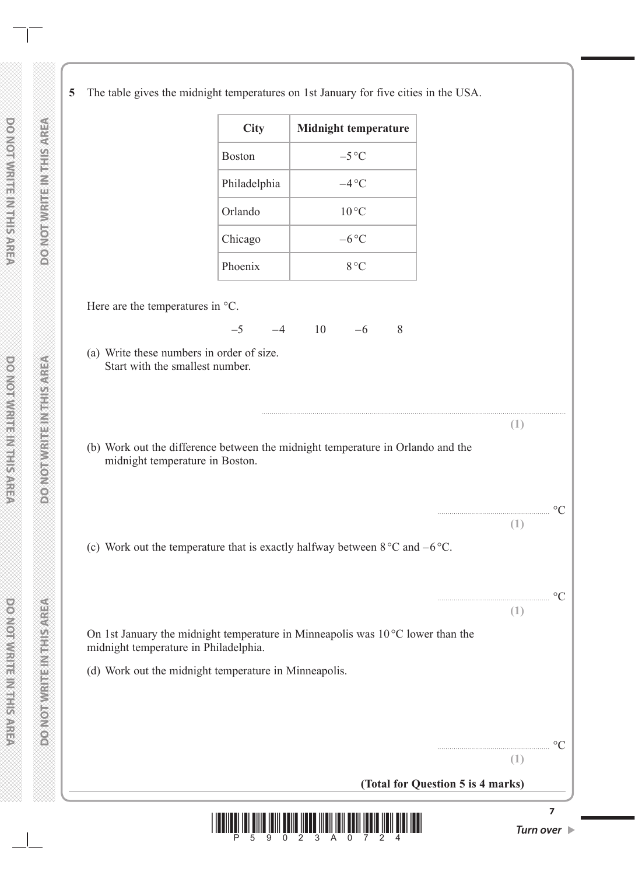**5** The table gives the midnight temperatures on 1st January for five cities in the USA.

|                                                                              |               | The those gives the mitting it temperatures on for tuntary for five enters in the CS/R.        |                                   |                                 |
|------------------------------------------------------------------------------|---------------|------------------------------------------------------------------------------------------------|-----------------------------------|---------------------------------|
|                                                                              | <b>City</b>   | <b>Midnight temperature</b>                                                                    |                                   |                                 |
|                                                                              | <b>Boston</b> | $-5^{\circ}C$                                                                                  |                                   |                                 |
|                                                                              | Philadelphia  | $-4$ °C                                                                                        |                                   |                                 |
|                                                                              | Orlando       | $10^{\circ}$ C                                                                                 |                                   |                                 |
|                                                                              | Chicago       | $-6^{\circ}C$                                                                                  |                                   |                                 |
|                                                                              | Phoenix       | $8^{\circ}$ C                                                                                  |                                   |                                 |
| Here are the temperatures in °C.                                             |               |                                                                                                |                                   |                                 |
|                                                                              | $-5$<br>$-4$  | 10<br>$-6$<br>8                                                                                |                                   |                                 |
| (a) Write these numbers in order of size.<br>Start with the smallest number. |               |                                                                                                |                                   |                                 |
|                                                                              |               |                                                                                                |                                   |                                 |
|                                                                              |               | (b) Work out the difference between the midnight temperature in Orlando and the                | (1)                               |                                 |
| midnight temperature in Boston.                                              |               |                                                                                                |                                   |                                 |
|                                                                              |               |                                                                                                |                                   |                                 |
|                                                                              |               |                                                                                                | (1)                               | $\rm ^{\circ}C$                 |
|                                                                              |               | (c) Work out the temperature that is exactly halfway between $8^{\circ}$ C and $-6^{\circ}$ C. |                                   |                                 |
|                                                                              |               |                                                                                                |                                   |                                 |
|                                                                              |               |                                                                                                | (1)                               | $\circ$ C                       |
| midnight temperature in Philadelphia.                                        |               | On 1st January the midnight temperature in Minneapolis was $10^{\circ}$ C lower than the       |                                   |                                 |
| (d) Work out the midnight temperature in Minneapolis.                        |               |                                                                                                |                                   |                                 |
|                                                                              |               |                                                                                                |                                   |                                 |
|                                                                              |               |                                                                                                |                                   |                                 |
|                                                                              |               |                                                                                                | (1)                               |                                 |
|                                                                              |               |                                                                                                | (Total for Question 5 is 4 marks) |                                 |
|                                                                              |               |                                                                                                |                                   | $\overline{7}$                  |
|                                                                              |               | <u>WE YN FIW WEL WIN I LIW LLIE WIN </u>                                                       |                                   | Turn over $\blacktriangleright$ |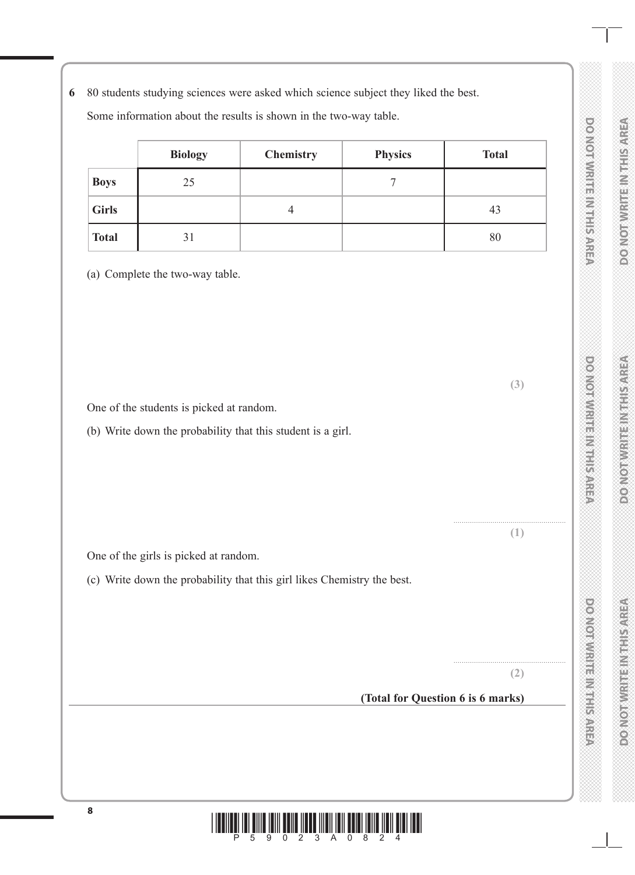**6** 80 students studying sciences were asked which science subject they liked the best.

Some information about the results is shown in the two-way table.

|              | <b>Biology</b> | <b>Chemistry</b> | <b>Physics</b> | <b>Total</b> |
|--------------|----------------|------------------|----------------|--------------|
| <b>Boys</b>  | 25             |                  |                |              |
| <b>Girls</b> |                |                  |                | 43           |
| <b>Total</b> | 31             |                  |                | 80           |

(a) Complete the two-way table.

One of the students is picked at random.

(b) Write down the probability that this student is a girl.

One of the girls is picked at random.

(c) Write down the probability that this girl likes Chemistry the best.

**(2)**

.......................................................

**(3)**

....................................................... **(1)**

**(Total for Question 6 is 6 marks)**

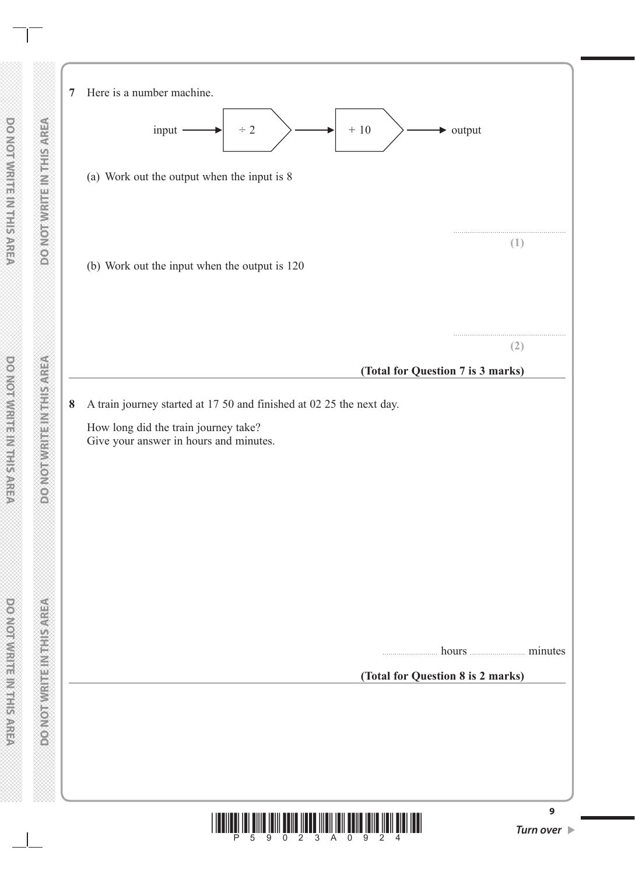



**9**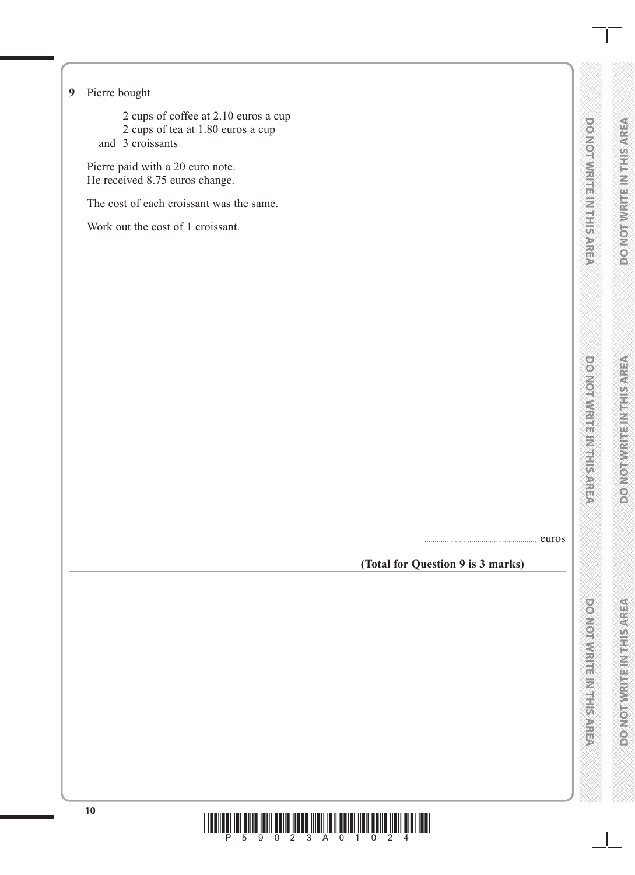#### **9** Pierre bought

- 2 cups of coffee at 2.10 euros a cup
- 2 cups of tea at 1.80 euros a cup
- and 3 croissants

Pierre paid with a 20 euro note. He received 8.75 euros change.

The cost of each croissant was the same.

Work out the cost of 1 croissant.

....................................................... euros

**(Total for Question 9 is 3 marks)**

**DOMOTIVIRIE IN THIR AREA DO NOT WRITE IN THIS AREA**

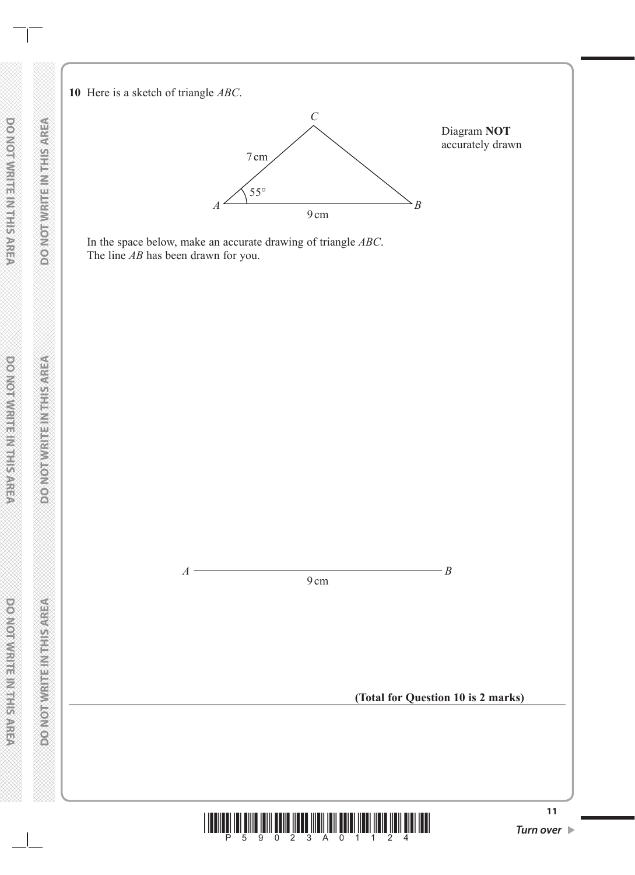**10** Here is a sketch of triangle *ABC*.



In the space below, make an accurate drawing of triangle *ABC*. The line *AB* has been drawn for you.



**DO NOT WRITE IN THIS AREA** 

**DO NOT WRITE IN THIS AREA DO NOT WRITE IN THIS AREA DO NOT WRITE IN THIS AREA DOMORWIGHT MENTIONED** 

**DO NOT WRITEIN THIS AREA**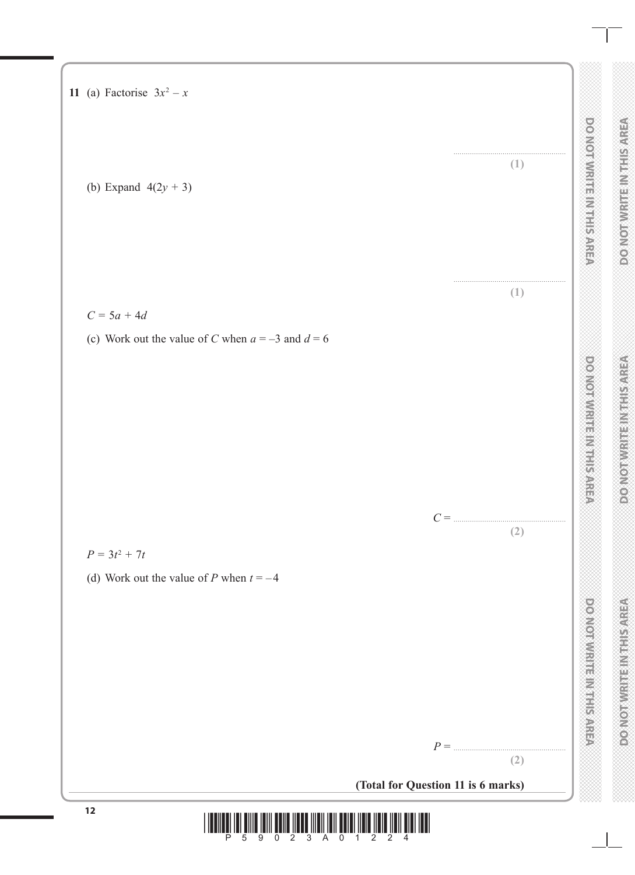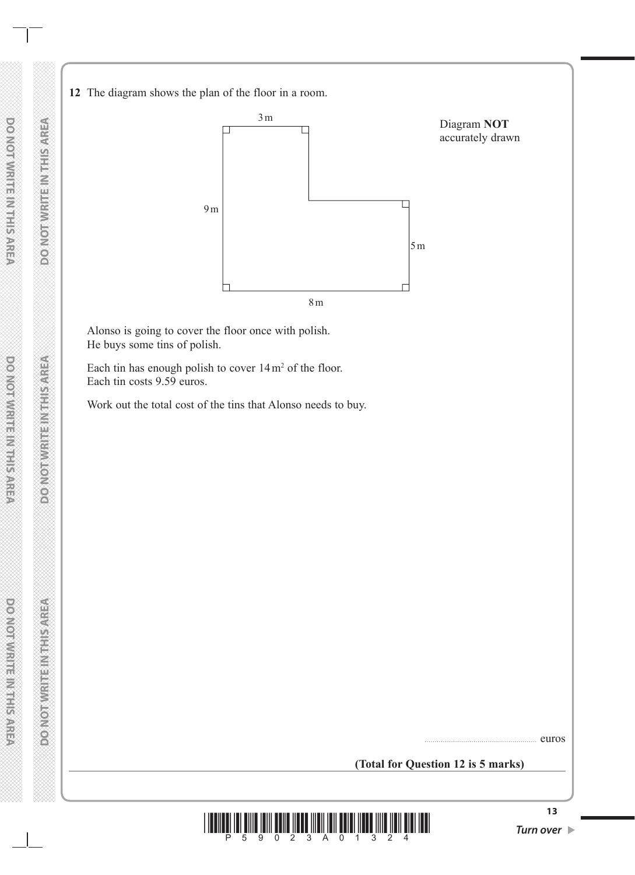**12** The diagram shows the plan of the floor in a room.



Alonso is going to cover the floor once with polish. He buys some tins of polish.

Each tin has enough polish to cover  $14 \,\mathrm{m}^2$  of the floor. Each tin costs 9.59 euros.

Work out the total cost of the tins that Alonso needs to buy.

....................................................... euros

#### **(Total for Question 12 is 5 marks)**

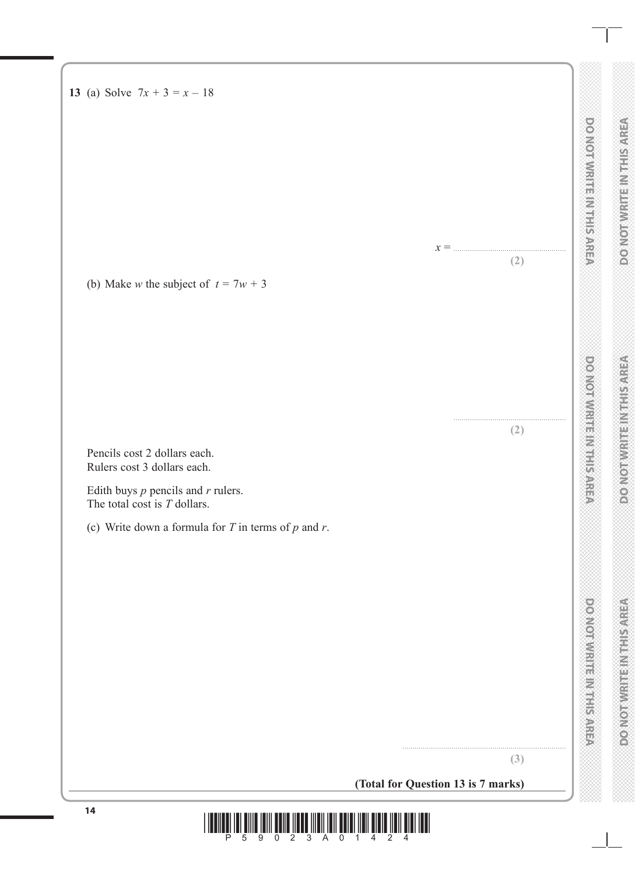**13** (a) Solve  $7x + 3 = x - 18$ 

(b) Make *w* the subject of  $t = 7w + 3$ 

Pencils cost 2 dollars each. Rulers cost 3 dollars each.

Edith buys *p* pencils and *r* rulers. The total cost is *T* dollars.

(c) Write down a formula for *T* in terms of *p* and *r*.

**(3)**

................................................................................

**(Total for Question 13 is 7 marks)**

 $x = ...$ 

**(2)**

....................................................... **(2)**

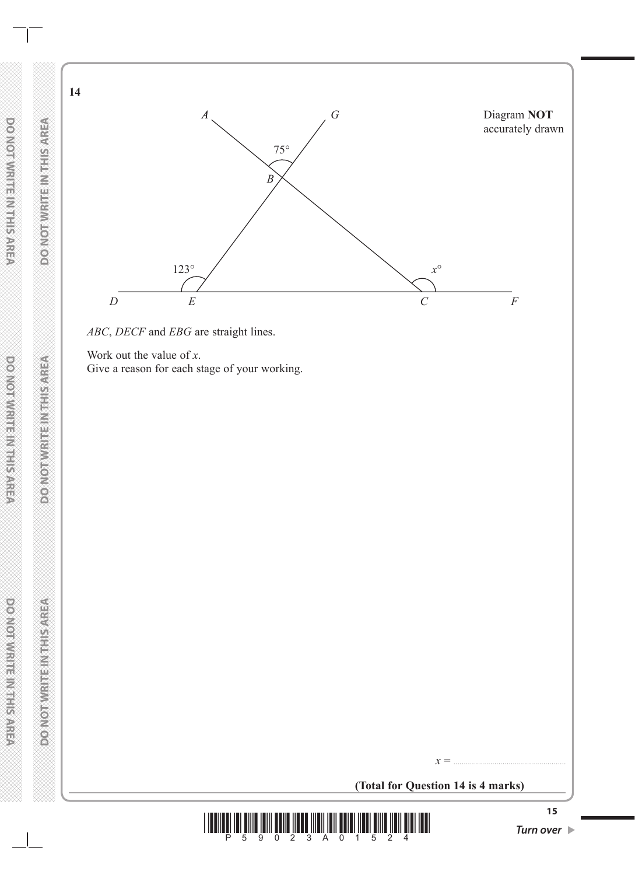



Work out the value of *x*. Give a reason for each stage of your working.

**(Total for Question 14 is 4 marks)**

*x* = .......................................................



**14**

**DO NOT WRITE IN THIS AREA**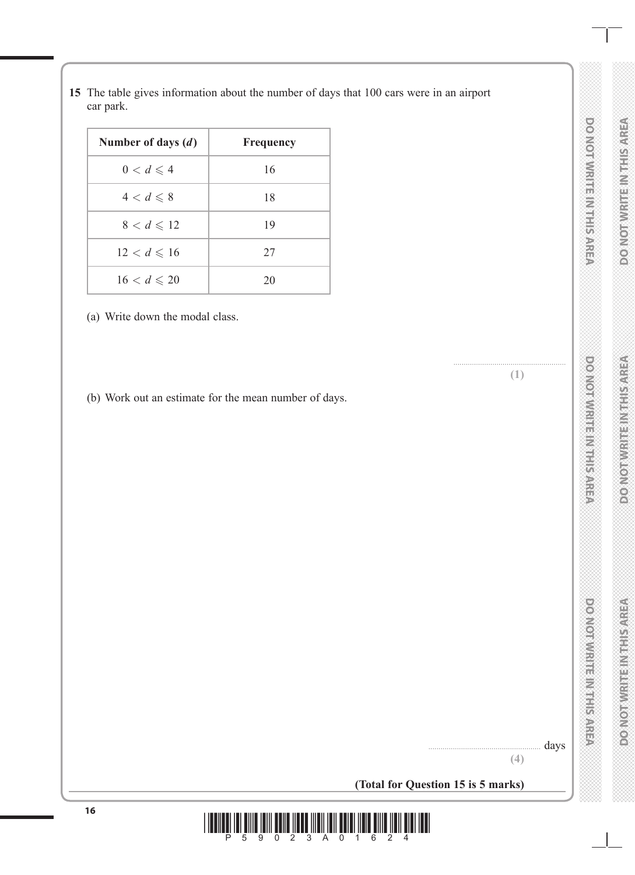| Number of days $(d)$  | <b>Frequency</b> |
|-----------------------|------------------|
| $0 < d \leqslant 4$   | 16               |
| $4 < d \leqslant 8$   | 18               |
| $8 < d \leqslant 12$  | 19               |
| $12 < d \leq 16$      | 27               |
| $16 < d \leqslant 20$ |                  |

**15** The table gives information about the number of days that 100 cars were in an airport

(a) Write down the modal class.

car park.

(b) Work out an estimate for the mean number of days.

.......................................................

**DO NOT WRITE IN THIS AREA** 

DO NOTWIRE IN THE AREA

....................................................... days **(4)**

**(Total for Question 15 is 5 marks)**

16<br> **1990**<br>
<u>1990</u><br>
2<br>
2<br>
3<br>
A<br>
0<br>
4<br>
6<br>
2<br>
4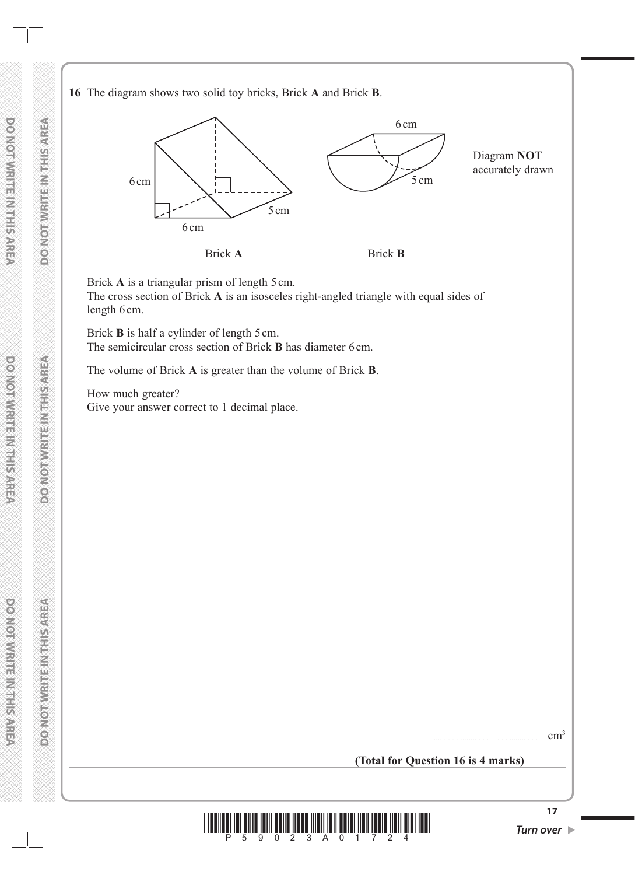#### **16** The diagram shows two solid toy bricks, Brick **A** and Brick **B**.



Brick A is a triangular prism of length 5 cm.

The cross section of Brick **A** is an isosceles right-angled triangle with equal sides of length 6cm.

Brick **B** is half a cylinder of length 5 cm. The semicircular cross section of Brick **B** has diameter 6 cm.

The volume of Brick **A** is greater than the volume of Brick **B**.

How much greater? Give your answer correct to 1 decimal place.

....................................................... cm3

**(Total for Question 16 is 4 marks)**

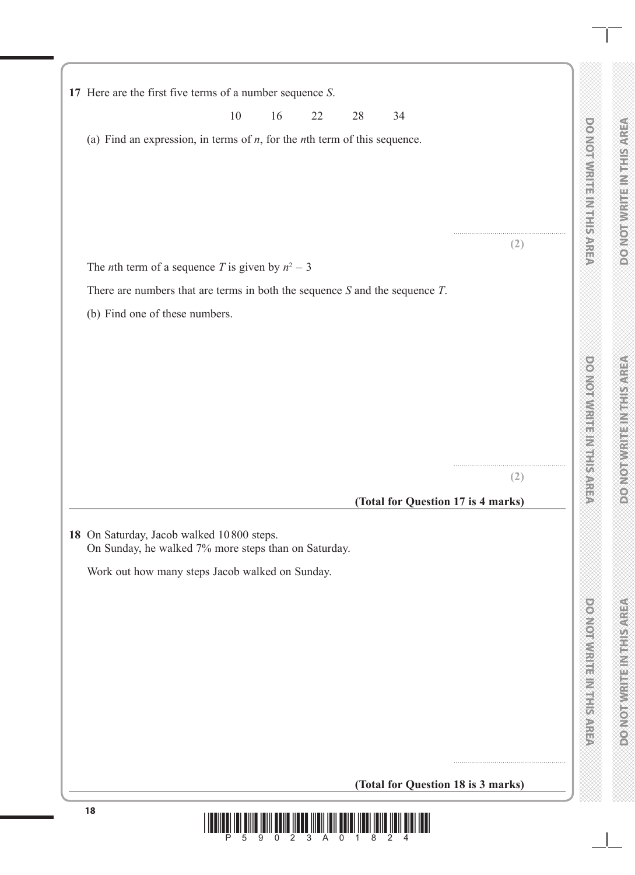|                                                                                                   | 10 | 16 | 22 | 28 | 34 |                                    |  |
|---------------------------------------------------------------------------------------------------|----|----|----|----|----|------------------------------------|--|
| (a) Find an expression, in terms of $n$ , for the $n$ th term of this sequence.                   |    |    |    |    |    |                                    |  |
|                                                                                                   |    |    |    |    |    |                                    |  |
|                                                                                                   |    |    |    |    |    |                                    |  |
|                                                                                                   |    |    |    |    |    | (2)                                |  |
| The <i>n</i> th term of a sequence <i>T</i> is given by $n^2 - 3$                                 |    |    |    |    |    |                                    |  |
| There are numbers that are terms in both the sequence $S$ and the sequence $T$ .                  |    |    |    |    |    |                                    |  |
| (b) Find one of these numbers.                                                                    |    |    |    |    |    |                                    |  |
|                                                                                                   |    |    |    |    |    |                                    |  |
|                                                                                                   |    |    |    |    |    |                                    |  |
|                                                                                                   |    |    |    |    |    |                                    |  |
|                                                                                                   |    |    |    |    |    |                                    |  |
|                                                                                                   |    |    |    |    |    |                                    |  |
|                                                                                                   |    |    |    |    |    | (2)                                |  |
|                                                                                                   |    |    |    |    |    | (Total for Question 17 is 4 marks) |  |
| 18 On Saturday, Jacob walked 10800 steps.<br>On Sunday, he walked 7% more steps than on Saturday. |    |    |    |    |    |                                    |  |
| Work out how many steps Jacob walked on Sunday.                                                   |    |    |    |    |    |                                    |  |
|                                                                                                   |    |    |    |    |    |                                    |  |
|                                                                                                   |    |    |    |    |    |                                    |  |
|                                                                                                   |    |    |    |    |    |                                    |  |
|                                                                                                   |    |    |    |    |    |                                    |  |
|                                                                                                   |    |    |    |    |    |                                    |  |
|                                                                                                   |    |    |    |    |    |                                    |  |
|                                                                                                   |    |    |    |    |    |                                    |  |
|                                                                                                   |    |    |    |    |    | (Total for Question 18 is 3 marks) |  |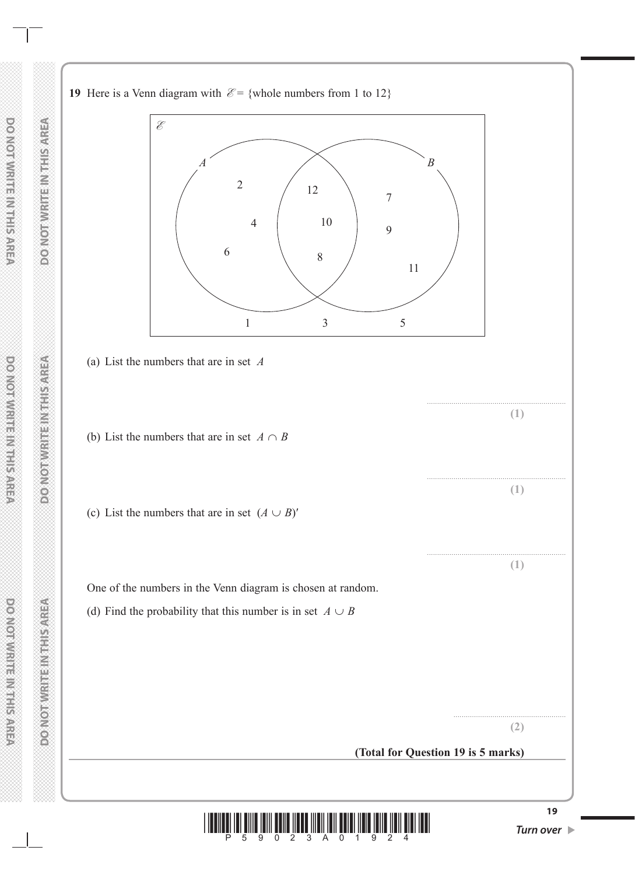**19** Here is a Venn diagram with  $\mathcal{E} = \{\text{whole numbers from 1 to 12}\}\$ 





**DO NOT WRITE IN THIS AREA DO NOT WRITE IN THIS AREA DO NOT WRITE IN THIS AREA DOMOTIVE REPAIRING**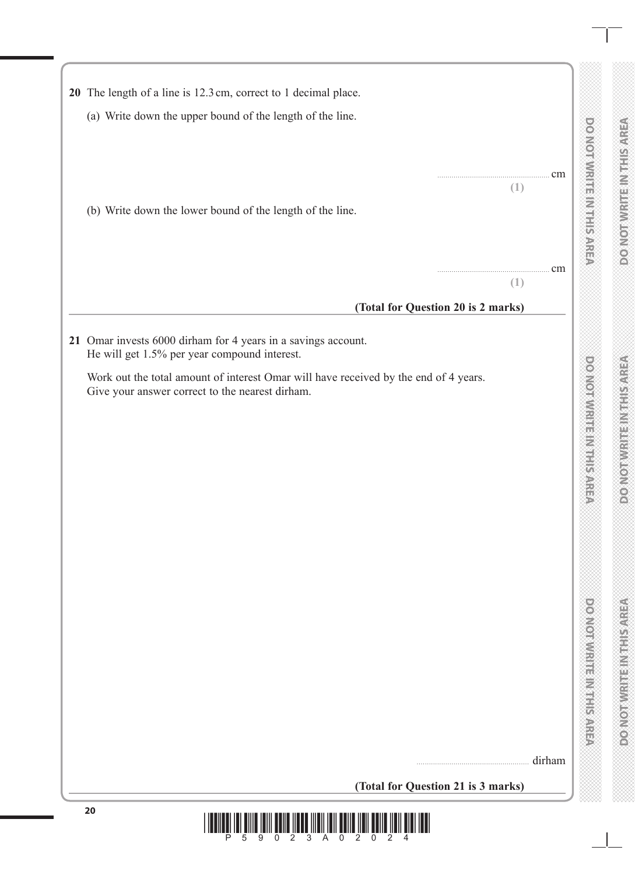| 20 The length of a line is 12.3 cm, correct to 1 decimal place.                                                                         |         |                                |
|-----------------------------------------------------------------------------------------------------------------------------------------|---------|--------------------------------|
|                                                                                                                                         |         |                                |
| (a) Write down the upper bound of the length of the line.                                                                               |         |                                |
|                                                                                                                                         |         | <b>DO NOTWRITE INTHIS AREA</b> |
|                                                                                                                                         |         |                                |
|                                                                                                                                         | cm<br>. |                                |
|                                                                                                                                         | (1)     |                                |
|                                                                                                                                         |         |                                |
| (b) Write down the lower bound of the length of the line.                                                                               |         |                                |
|                                                                                                                                         |         |                                |
|                                                                                                                                         |         |                                |
|                                                                                                                                         | cm<br>. |                                |
|                                                                                                                                         | (1)     |                                |
| (Total for Question 20 is 2 marks)                                                                                                      |         |                                |
|                                                                                                                                         |         |                                |
| 21 Omar invests 6000 dirham for 4 years in a savings account.                                                                           |         |                                |
| He will get 1.5% per year compound interest.                                                                                            |         |                                |
|                                                                                                                                         |         | <b>DOMOTWRITE INTERNET</b>     |
| Work out the total amount of interest Omar will have received by the end of 4 years.<br>Give your answer correct to the nearest dirham. |         |                                |
|                                                                                                                                         |         |                                |
|                                                                                                                                         |         |                                |
|                                                                                                                                         |         |                                |
|                                                                                                                                         |         |                                |
|                                                                                                                                         |         |                                |
|                                                                                                                                         |         |                                |
|                                                                                                                                         |         |                                |
|                                                                                                                                         |         |                                |
|                                                                                                                                         |         |                                |
|                                                                                                                                         |         |                                |
|                                                                                                                                         |         |                                |
|                                                                                                                                         |         |                                |
|                                                                                                                                         |         |                                |
|                                                                                                                                         |         |                                |
|                                                                                                                                         |         |                                |
|                                                                                                                                         |         |                                |
|                                                                                                                                         |         |                                |
|                                                                                                                                         |         |                                |
|                                                                                                                                         |         |                                |
|                                                                                                                                         |         |                                |
|                                                                                                                                         |         | <b>POWORWATER WEIGHTS</b>      |
|                                                                                                                                         |         |                                |
|                                                                                                                                         | dirham  |                                |
|                                                                                                                                         |         |                                |
| (Total for Question 21 is 3 marks)                                                                                                      |         |                                |

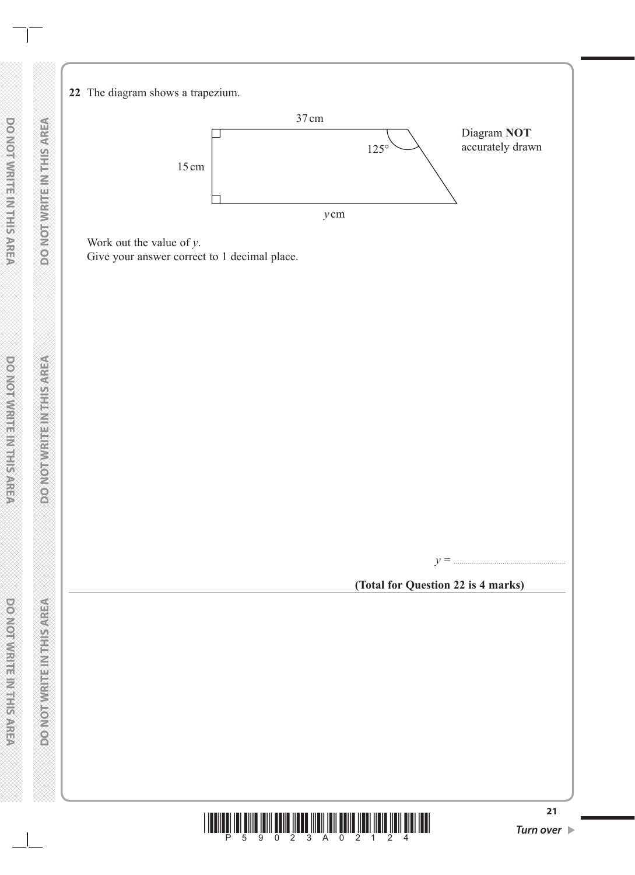**22** The diagram shows a trapezium.



Work out the value of *y*.

Give your answer correct to 1 decimal place.



**(Total for Question 22 is 4 marks)**

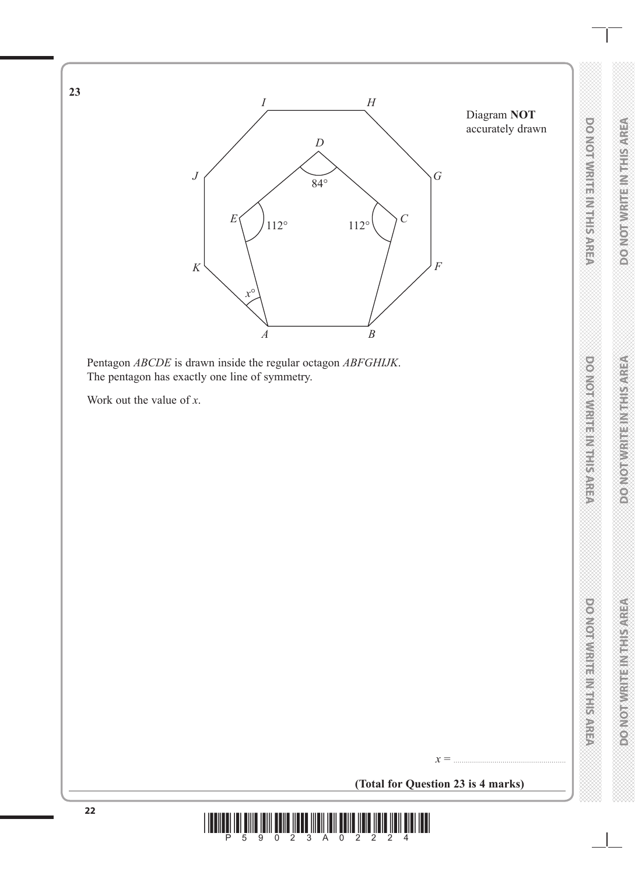

**(Total for Question 23 is 4 marks)**

 $x = ...$ 

**23**

**22 100**  $\frac{1}{5}$  **10**  $\frac{1}{5}$  **10**  $\frac{1}{9}$  **10**  $\frac{1}{2}$  **10**  $\frac{1}{2}$  **10**  $\frac{1}{2}$  **10**  $\frac{1}{2}$  **11**  $\frac{1}{2}$  **11**  $\frac{1}{4}$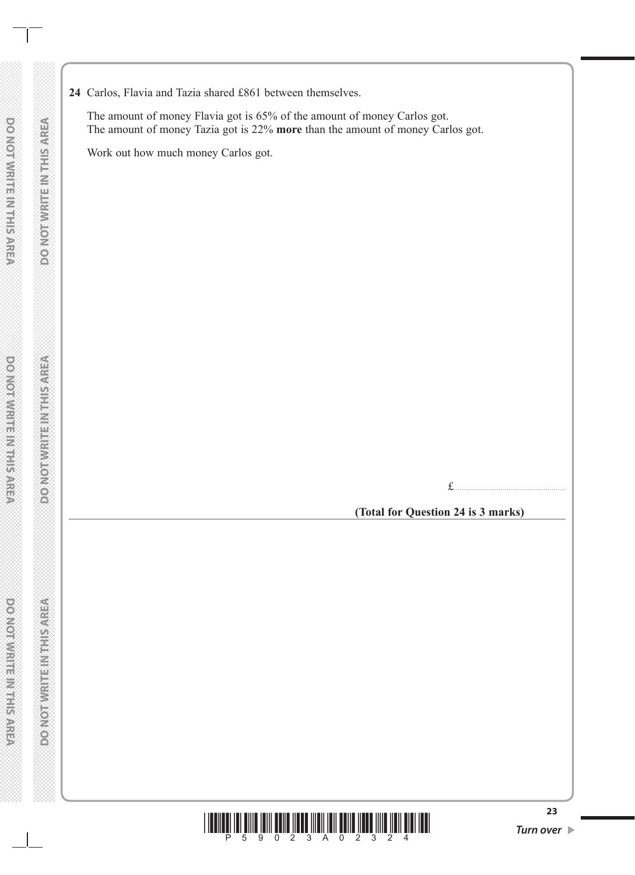**24** Carlos, Flavia and Tazia shared £861 between themselves.

The amount of money Flavia got is 65% of the amount of money Carlos got. The amount of money Tazia got is 22% **more** than the amount of money Carlos got.

Work out how much money Carlos got.

£.......................................................

**(Total for Question 24 is 3 marks)**